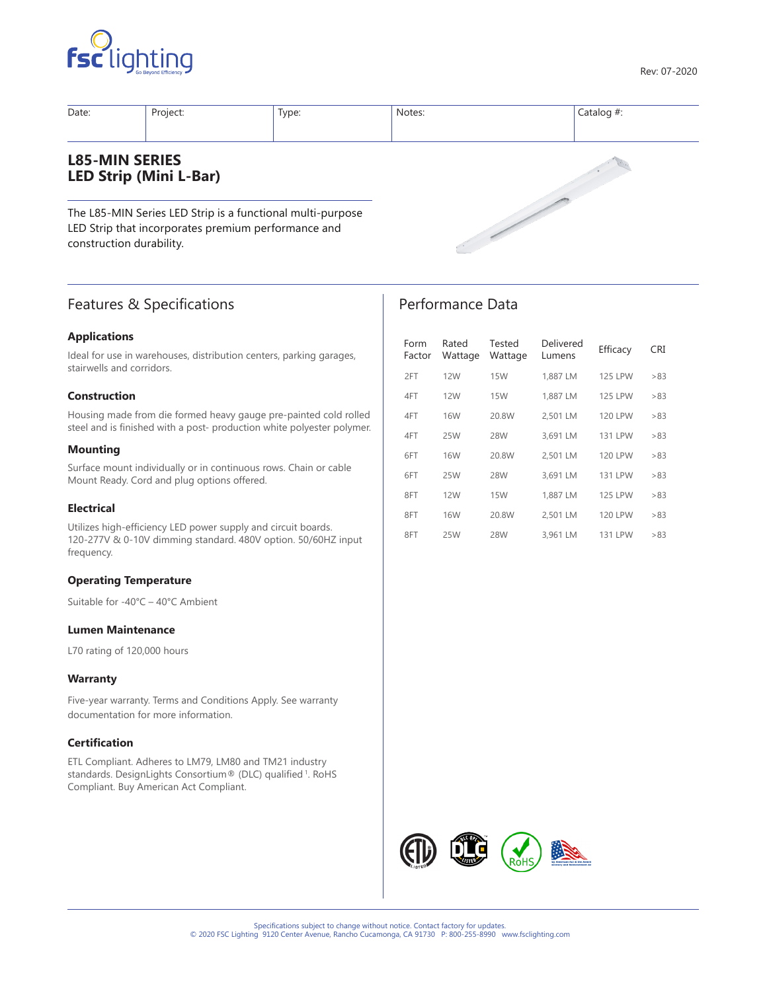



| Date:                    | Project:                                                                                                          | Type: | Notes: | Catalog $#$ : |
|--------------------------|-------------------------------------------------------------------------------------------------------------------|-------|--------|---------------|
| <b>L85-MIN SERIES</b>    | <b>LED Strip (Mini L-Bar)</b>                                                                                     |       |        |               |
| construction durability. | The L85-MIN Series LED Strip is a functional multi-purpose<br>LED Strip that incorporates premium performance and |       |        |               |

# Features & Specifications

# **Applications**

Ideal for use in warehouses, distribution centers, parking garages, stairwells and corridors.

# **Construction**

Housing made from die formed heavy gauge pre-painted cold rolled steel and is finished with a post- production white polyester polymer.

### **Mounting**

Surface mount individually or in continuous rows. Chain or cable Mount Ready. Cord and plug options offered.

### **Electrical**

Utilizes high-efficiency LED power supply and circuit boards. 120-277V & 0-10V dimming standard. 480V option. 50/60HZ input frequency.

### **Operating Temperature**

Suitable for -40°C – 40°C Ambient

# **Lumen Maintenance**

L70 rating of 120,000 hours

### **Warranty**

Five-year warranty. Terms and Conditions Apply. See warranty documentation for more information.

### **Certification**

ETL Compliant. Adheres to LM79, LM80 and TM21 industry standards. DesignLights Consortium® (DLC) qualified <sup>1</sup>. RoHS Compliant. Buy American Act Compliant.

| Form<br>Factor | Rated<br>Wattage | Tested<br>Wattage | Delivered<br>Lumens | Efficacy       | <b>CRI</b> |
|----------------|------------------|-------------------|---------------------|----------------|------------|
| 2FT            | <b>12W</b>       | <b>15W</b>        | 1,887 LM            | <b>125 LPW</b> | >83        |
| 4FT            | 12W              | <b>15W</b>        | 1.887 LM            | <b>125 LPW</b> | >83        |
| 4FT            | 16W              | 20.8W             | 2,501 LM            | <b>120 LPW</b> | >83        |
| 4FT            | 25W              | 28W               | 3.691 LM            | <b>131 LPW</b> | >83        |
| 6FT            | 16W              | 20.8W             | 2,501 LM            | <b>120 LPW</b> | >83        |
| 6FT            | 25W              | 28W               | 3.691 LM            | <b>131 LPW</b> | >83        |
| 8FT            | 12W              | <b>15W</b>        | 1.887 LM            | <b>125 LPW</b> | >83        |
| 8FT            | <b>16W</b>       | 20.8W             | 2.501 LM            | <b>120 LPW</b> | >83        |
| 8FT            | 25W              | 28W               | 3.961 LM            | <b>131 LPW</b> | >83        |

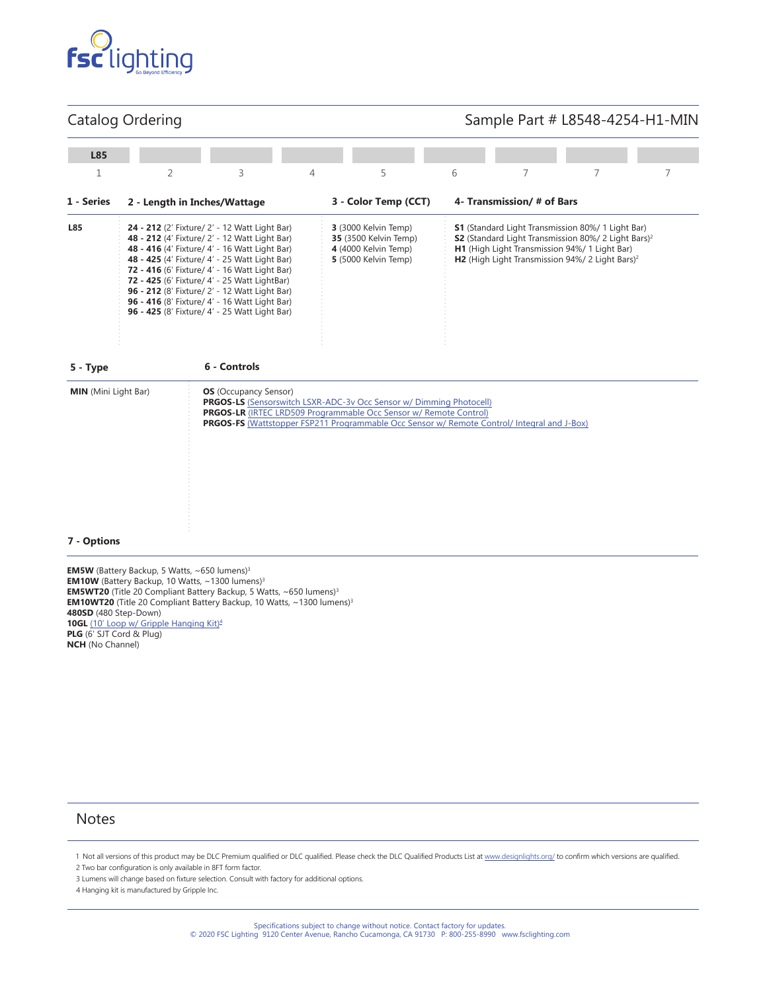

# Catalog Ordering

# Sample Part # L8548-4254-H1-MIN

| L85                         |                |                                                                                                                                                                                                                                                                                                                                                                                                                                                      |   |                                                                                                                                                                                                                                                       |   |                                               |                                                                                                                                                                                             |   |
|-----------------------------|----------------|------------------------------------------------------------------------------------------------------------------------------------------------------------------------------------------------------------------------------------------------------------------------------------------------------------------------------------------------------------------------------------------------------------------------------------------------------|---|-------------------------------------------------------------------------------------------------------------------------------------------------------------------------------------------------------------------------------------------------------|---|-----------------------------------------------|---------------------------------------------------------------------------------------------------------------------------------------------------------------------------------------------|---|
| 1                           | $\overline{2}$ | 3                                                                                                                                                                                                                                                                                                                                                                                                                                                    | 4 | 5                                                                                                                                                                                                                                                     | 6 | 7                                             | 7                                                                                                                                                                                           | 7 |
| 1 - Series                  |                | 2 - Length in Inches/Wattage                                                                                                                                                                                                                                                                                                                                                                                                                         |   | 3 - Color Temp (CCT)                                                                                                                                                                                                                                  |   | 4- Transmission/# of Bars                     |                                                                                                                                                                                             |   |
| L85                         |                | 24 - 212 (2' Fixture/ 2' - 12 Watt Light Bar)<br>48 - 212 (4' Fixture/ 2' - 12 Watt Light Bar)<br>48 - 416 (4' Fixture/ 4' - 16 Watt Light Bar)<br>48 - 425 (4' Fixture/ 4' - 25 Watt Light Bar)<br>72 - 416 (6' Fixture/ 4' - 16 Watt Light Bar)<br>72 - 425 (6' Fixture/ 4' - 25 Watt LightBar)<br>96 - 212 (8' Fixture/ 2' - 12 Watt Light Bar)<br>96 - 416 (8' Fixture/ 4' - 16 Watt Light Bar)<br>96 - 425 (8' Fixture/ 4' - 25 Watt Light Bar) |   | 3 (3000 Kelvin Temp)<br><b>35</b> (3500 Kelvin Temp)<br>4 (4000 Kelvin Temp)<br>5 (5000 Kelvin Temp)                                                                                                                                                  |   | H1 (High Light Transmission 94%/ 1 Light Bar) | <b>S1</b> (Standard Light Transmission 80%/ 1 Light Bar)<br>\$2 (Standard Light Transmission 80%/ 2 Light Bars) <sup>2</sup><br>H2 (High Light Transmission 94%/ 2 Light Bars) <sup>2</sup> |   |
| 5 - Type                    |                | 6 - Controls                                                                                                                                                                                                                                                                                                                                                                                                                                         |   |                                                                                                                                                                                                                                                       |   |                                               |                                                                                                                                                                                             |   |
| <b>MIN</b> (Mini Light Bar) |                | <b>OS</b> (Occupancy Sensor)                                                                                                                                                                                                                                                                                                                                                                                                                         |   | <b>PRGOS-LS</b> (Sensorswitch LSXR-ADC-3v Occ Sensor w/ Dimming Photocell)<br>PRGOS-LR (IRTEC LRD509 Programmable Occ Sensor w/ Remote Control)<br><b>PRGOS-FS</b> (Wattstopper FSP211 Programmable Occ Sensor w/ Remote Control/ Integral and J-Box) |   |                                               |                                                                                                                                                                                             |   |
| 7 - Options                 |                |                                                                                                                                                                                                                                                                                                                                                                                                                                                      |   |                                                                                                                                                                                                                                                       |   |                                               |                                                                                                                                                                                             |   |

**EM5W** (Battery Backup, 5 Watts, ~650 lumens)<sup>3</sup> **EM10W** (Battery Backup, 10 Watts, ~1300 lumens)<sup>3</sup> **EM5WT20** (Title 20 Compliant Battery Backup, 5 Watts, ~650 lumens)<sup>3</sup> **EM10WT20** (Title 20 Compliant Battery Backup, 10 Watts, ~1300 lumens)<sup>3</sup> **480SD** (480 Step-Down) **10GL** [\(10' Loop w/ Gripple Hanging Kit\)](https://www.gripple.com/umbraco/Surface/ProductTechnicalDocuments/Download?url=BUS-PI-ANG-ENG-1689%20433.pdf)<sup>4</sup> **PLG** (6' SJT Cord & Plug) **NCH** (No Channel)

# **Notes**

3 Lumens will change based on fixture selection. Consult with factory for additional options.

4 Hanging kit is manufactured by Gripple Inc.

<sup>1</sup> Not all versions of this product may be DLC Premium qualified or DLC qualified. Please check the DLC Qualified Products List at [www.designlights.org/](https://www.designlights.org/search/) to confirm which versions are qualified. 2 Two bar configuration is only available in 8FT form factor.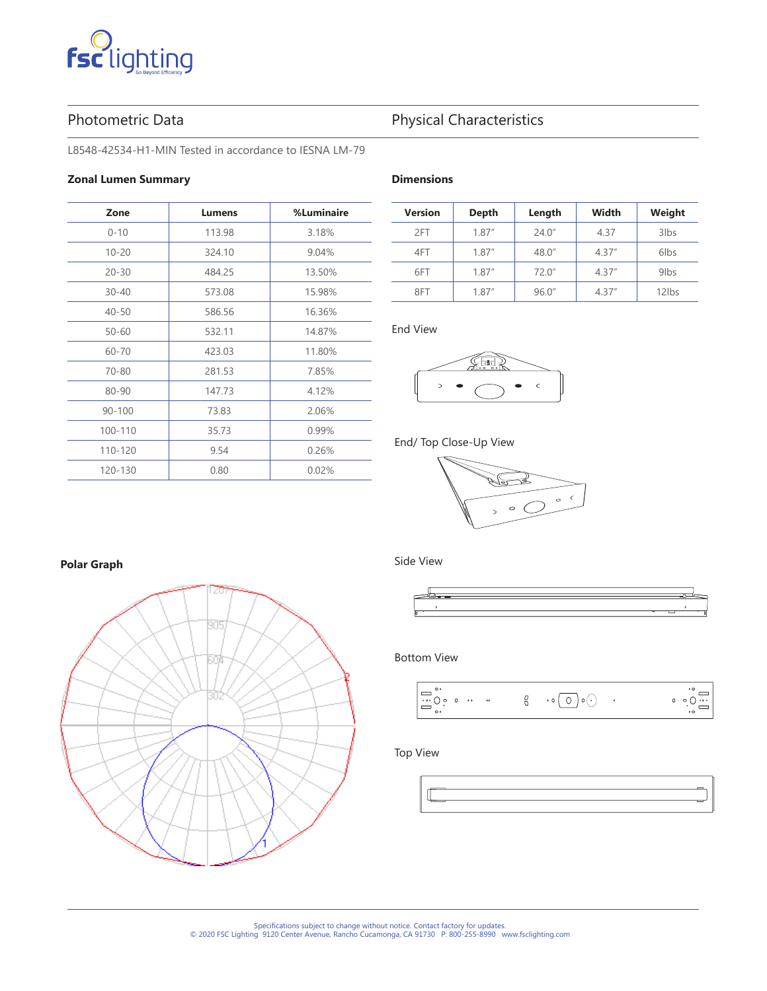# **Fsc**lighting

# Photometric Data **Physical Characteristics**

L8548-42534-H1-MIN Tested in accordance to IESNA LM-79

# **Zonal Lumen Summary**

| Zone       | <b>Lumens</b> | %Luminaire |
|------------|---------------|------------|
| $0 - 10$   | 113.98        | 3.18%      |
| $10 - 20$  | 324.10        | 9.04%      |
| $20 - 30$  | 484.25        | 13.50%     |
| $30 - 40$  | 573.08        | 15.98%     |
| $40 - 50$  | 586.56        | 16.36%     |
| $50 - 60$  | 532.11        | 14.87%     |
| 60-70      | 423.03        | 11.80%     |
| $70 - 80$  | 281.53        | 7.85%      |
| 80-90      | 147.73        | 4.12%      |
| $90 - 100$ | 73.83         | 2.06%      |
| 100-110    | 35.73         | 0.99%      |
| 110-120    | 9.54          | 0.26%      |
| 120-130    | 0.80          | 0.02%      |

# **Dimensions**

| <b>Version</b> | Depth  | Length | Width  | Weight  |
|----------------|--------|--------|--------|---------|
| 2FT            | 1.87'' | 24.0'' | 4.37   | $3$ lbs |
| 4FT            | 1.87'' | 48.0"  | 4.37'' | 6lbs    |
| 6FT            | 1.87'' | 720''  | 4.37'' | $9$ lbs |
| 8FT            | 1.87'' | 96.0"  | 4.37'' | 12lbs   |

# End View



# End/ Top Close-Up View



# **Polar Graph**



# Side View



# Bottom View



# Top View